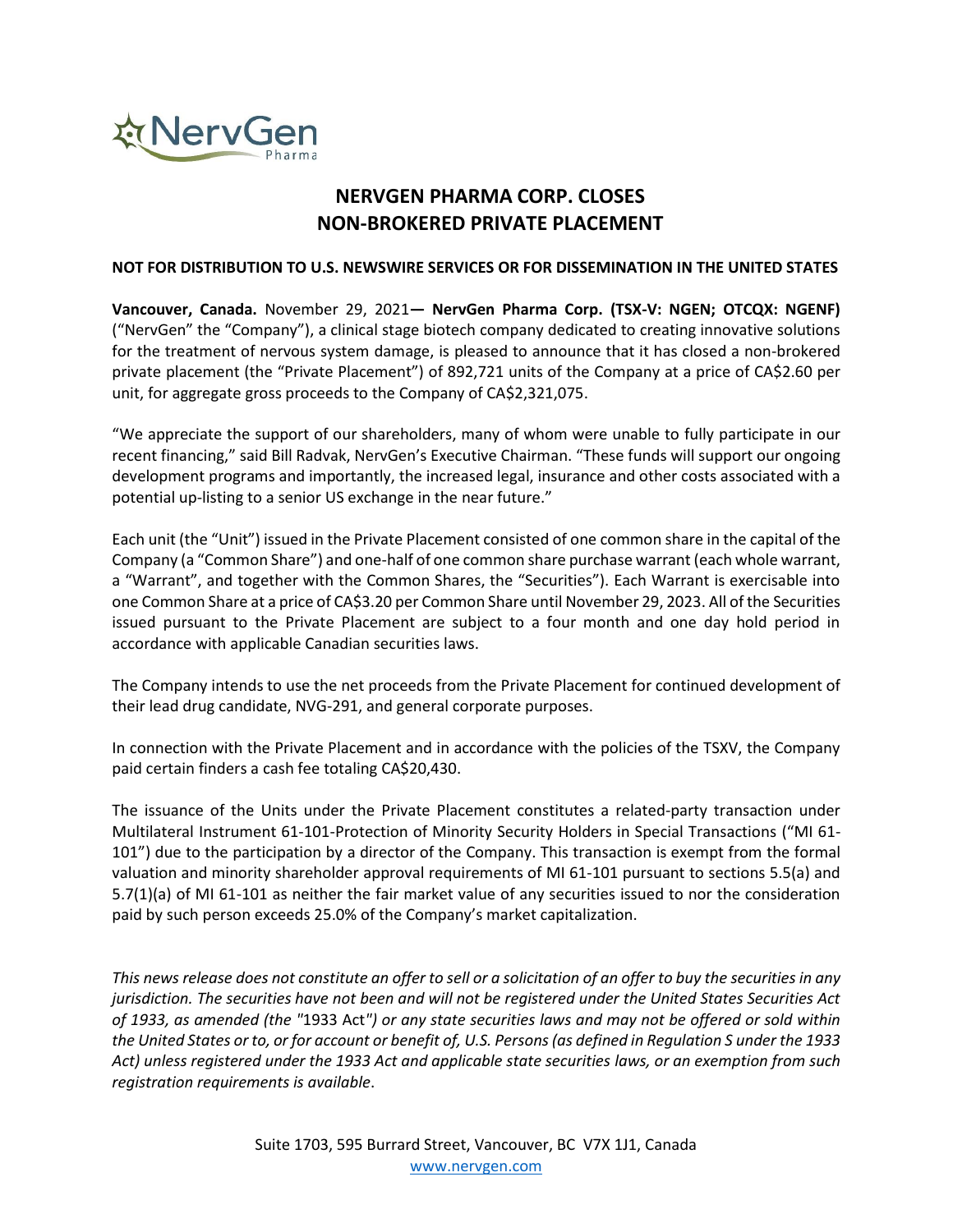

## **NERVGEN PHARMA CORP. CLOSES NON-BROKERED PRIVATE PLACEMENT**

## **NOT FOR DISTRIBUTION TO U.S. NEWSWIRE SERVICES OR FOR DISSEMINATION IN THE UNITED STATES**

**Vancouver, Canada.** November 29, 2021**— NervGen Pharma Corp. (TSX-V: NGEN; OTCQX: NGENF)**  ("NervGen" the "Company"), a clinical stage biotech company dedicated to creating innovative solutions for the treatment of nervous system damage, is pleased to announce that it has closed a non-brokered private placement (the "Private Placement") of 892,721 units of the Company at a price of CA\$2.60 per unit, for aggregate gross proceeds to the Company of CA\$2,321,075.

"We appreciate the support of our shareholders, many of whom were unable to fully participate in our recent financing," said Bill Radvak, NervGen's Executive Chairman. "These funds will support our ongoing development programs and importantly, the increased legal, insurance and other costs associated with a potential up-listing to a senior US exchange in the near future."

Each unit (the "Unit") issued in the Private Placement consisted of one common share in the capital of the Company (a "Common Share") and one-half of one common share purchase warrant (each whole warrant, a "Warrant", and together with the Common Shares, the "Securities"). Each Warrant is exercisable into one Common Share at a price of CA\$3.20 per Common Share until November 29, 2023. All of the Securities issued pursuant to the Private Placement are subject to a four month and one day hold period in accordance with applicable Canadian securities laws.

The Company intends to use the net proceeds from the Private Placement for continued development of their lead drug candidate, NVG-291, and general corporate purposes.

In connection with the Private Placement and in accordance with the policies of the TSXV, the Company paid certain finders a cash fee totaling CA\$20,430.

The issuance of the Units under the Private Placement constitutes a related-party transaction under Multilateral Instrument 61-101-Protection of Minority Security Holders in Special Transactions ("MI 61- 101") due to the participation by a director of the Company. This transaction is exempt from the formal valuation and minority shareholder approval requirements of MI 61-101 pursuant to sections 5.5(a) and 5.7(1)(a) of MI 61-101 as neither the fair market value of any securities issued to nor the consideration paid by such person exceeds 25.0% of the Company's market capitalization.

*This news release does not constitute an offer to sell or a solicitation of an offer to buy the securities in any jurisdiction. The securities have not been and will not be registered under the United States Securities Act of 1933, as amended (the "*1933 Act*") or any state securities laws and may not be offered or sold within the United States or to, or for account or benefit of, U.S. Persons (as defined in Regulation S under the 1933 Act) unless registered under the 1933 Act and applicable state securities laws, or an exemption from such registration requirements is available*.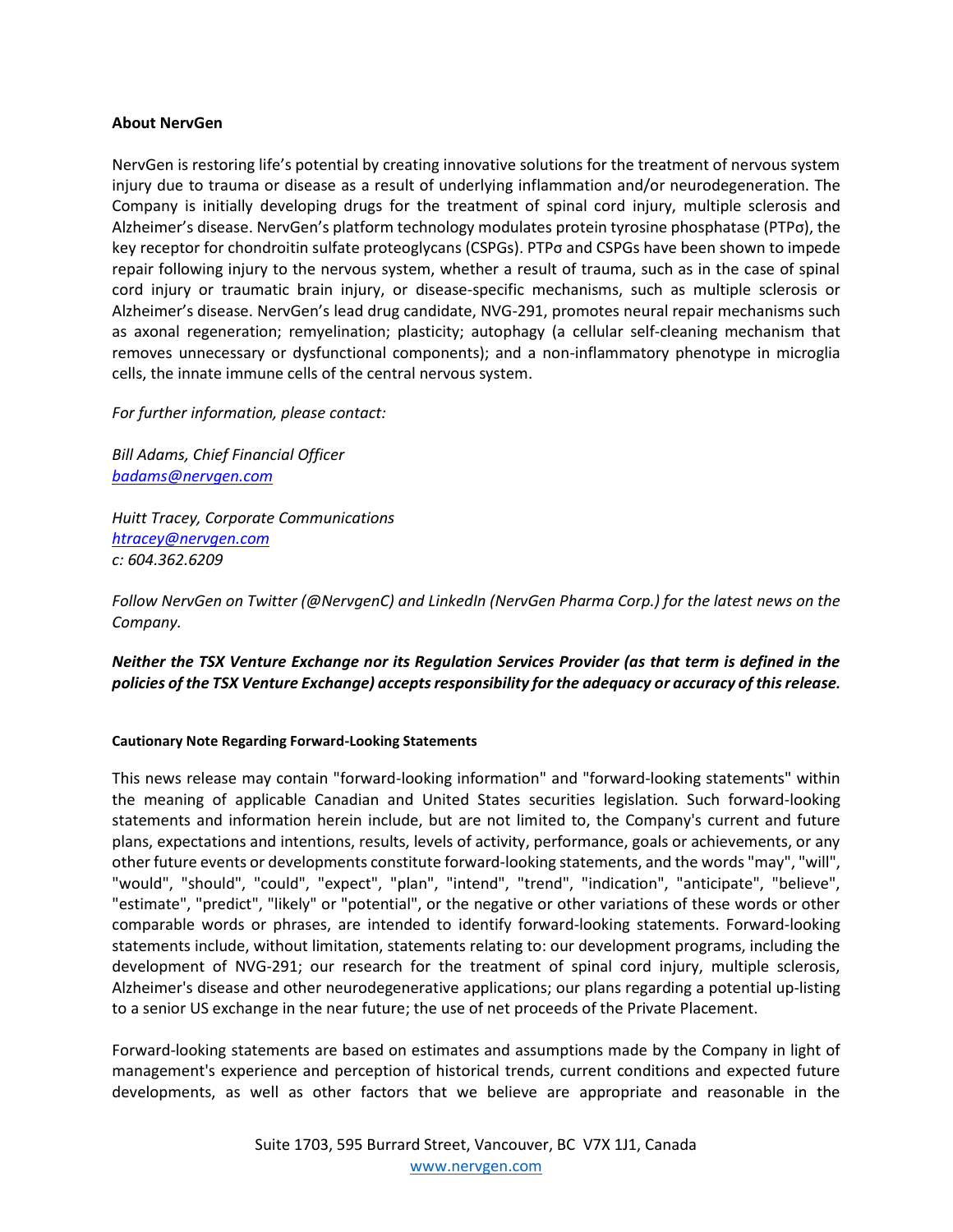## **About NervGen**

NervGen is restoring life's potential by creating innovative solutions for the treatment of nervous system injury due to trauma or disease as a result of underlying inflammation and/or neurodegeneration. The Company is initially developing drugs for the treatment of spinal cord injury, multiple sclerosis and Alzheimer's disease. NervGen's platform technology modulates protein tyrosine phosphatase (PTPσ), the key receptor for chondroitin sulfate proteoglycans (CSPGs). PTPσ and CSPGs have been shown to impede repair following injury to the nervous system, whether a result of trauma, such as in the case of spinal cord injury or traumatic brain injury, or disease-specific mechanisms, such as multiple sclerosis or Alzheimer's disease. NervGen's lead drug candidate, NVG-291, promotes neural repair mechanisms such as axonal regeneration; remyelination; plasticity; autophagy (a cellular self-cleaning mechanism that removes unnecessary or dysfunctional components); and a non-inflammatory phenotype in microglia cells, the innate immune cells of the central nervous system.

*For further information, please contact:*

*Bill Adams, Chief Financial Officer [badams@nervgen.com](mailto:badams@nervgen.com)*

*Huitt Tracey, Corporate Communications [htracey@nervgen.com](mailto:htracey@nervgen.com) c: 604.362.6209*

*Follow NervGen on Twitter (@NervgenC) and LinkedIn (NervGen Pharma Corp.) for the latest news on the Company.*

*Neither the TSX Venture Exchange nor its Regulation Services Provider (as that term is defined in the policies of the TSX Venture Exchange) accepts responsibility for the adequacy or accuracy of this release.*

## **Cautionary Note Regarding Forward-Looking Statements**

This news release may contain "forward-looking information" and "forward-looking statements" within the meaning of applicable Canadian and United States securities legislation. Such forward-looking statements and information herein include, but are not limited to, the Company's current and future plans, expectations and intentions, results, levels of activity, performance, goals or achievements, or any other future events or developments constitute forward-looking statements, and the words "may", "will", "would", "should", "could", "expect", "plan", "intend", "trend", "indication", "anticipate", "believe", "estimate", "predict", "likely" or "potential", or the negative or other variations of these words or other comparable words or phrases, are intended to identify forward-looking statements. Forward-looking statements include, without limitation, statements relating to: our development programs, including the development of NVG-291; our research for the treatment of spinal cord injury, multiple sclerosis, Alzheimer's disease and other neurodegenerative applications; our plans regarding a potential up-listing to a senior US exchange in the near future; the use of net proceeds of the Private Placement.

Forward-looking statements are based on estimates and assumptions made by the Company in light of management's experience and perception of historical trends, current conditions and expected future developments, as well as other factors that we believe are appropriate and reasonable in the